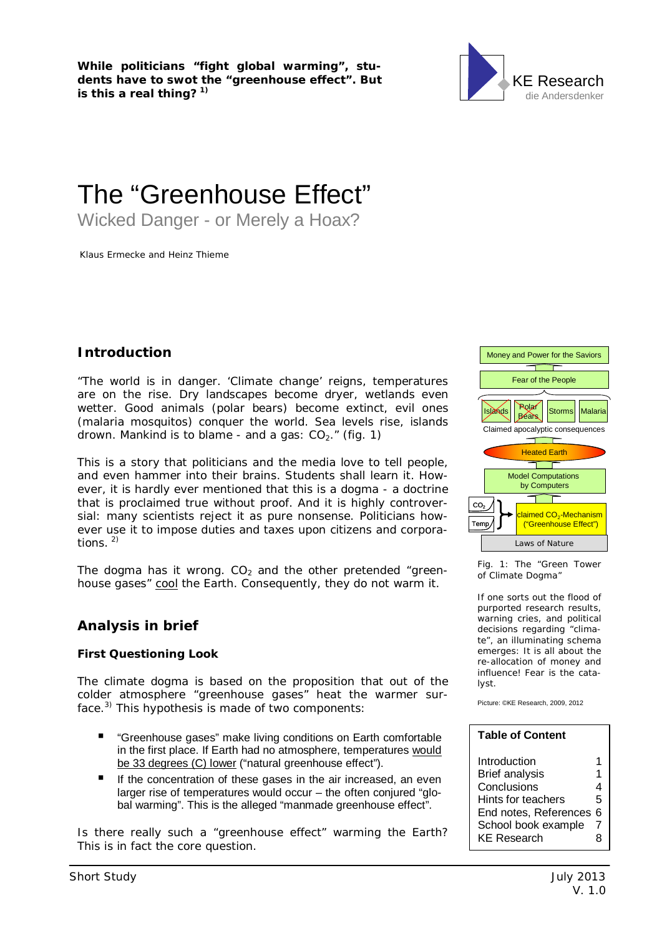**While politicians "fight global warming", students have to swot the "greenhouse effect". But is this a real thing? 1)**



# The "Greenhouse Effect"

Wicked Danger - or Merely a Hoax?

Klaus Ermecke and Heinz Thieme

### **Introduction**

"The world is in danger. 'Climate change' reigns, temperatures are on the rise. Dry landscapes become dryer, wetlands even wetter. Good animals (polar bears) become extinct, evil ones (malaria mosquitos) conquer the world. Sea levels rise, islands drown. Mankind is to blame - and a gas:  $CO<sub>2</sub>$ ." (fig. 1)

This is a story that politicians and the media love to tell people, and even hammer into their brains. Students shall learn it. However, it is hardly ever mentioned that this is a dogma - a doctrine that is proclaimed true without proof. And it is highly controversial: many scientists reject it as pure nonsense. Politicians however use it to impose duties and taxes upon citizens and corporations. 2)

The dogma has it wrong.  $CO<sub>2</sub>$  and the other pretended "greenhouse gases" cool the Earth. Consequently, they do not warm it.

## **Analysis in brief**

**First Questioning Look**

The climate dogma is based on the proposition that out of the colder atmosphere "greenhouse gases" heat the warmer surface.3) This hypothesis is made of two components:

- "Greenhouse gases" make living conditions on Earth comfortable in the first place. If Earth had no atmosphere, temperatures would be 33 degrees (C) lower ("natural greenhouse effect").
- If the concentration of these gases in the air increased, an even larger rise of temperatures would occur – the often conjured "global warming". This is the alleged "manmade greenhouse effect".

Is there really such a "greenhouse effect" warming the Earth? This is in fact the core question.



Fig. 1: The "Green Tower of Climate Dogma"

If one sorts out the flood of purported research results, warning cries, and political decisions regarding "climate", an illuminating schema emerges: It is all about the re-allocation of money and influence! Fear is the catalyst.

Picture: ©KE Research, 2009, 2012

| <b>Table of Content</b> |   |  |
|-------------------------|---|--|
| Introduction            | 1 |  |
| <b>Brief analysis</b>   | 1 |  |
| Conclusions             | 4 |  |
| Hints for teachers      | 5 |  |
| End notes, References   | 6 |  |
| School book example     | 7 |  |
| <b>KE Research</b>      | x |  |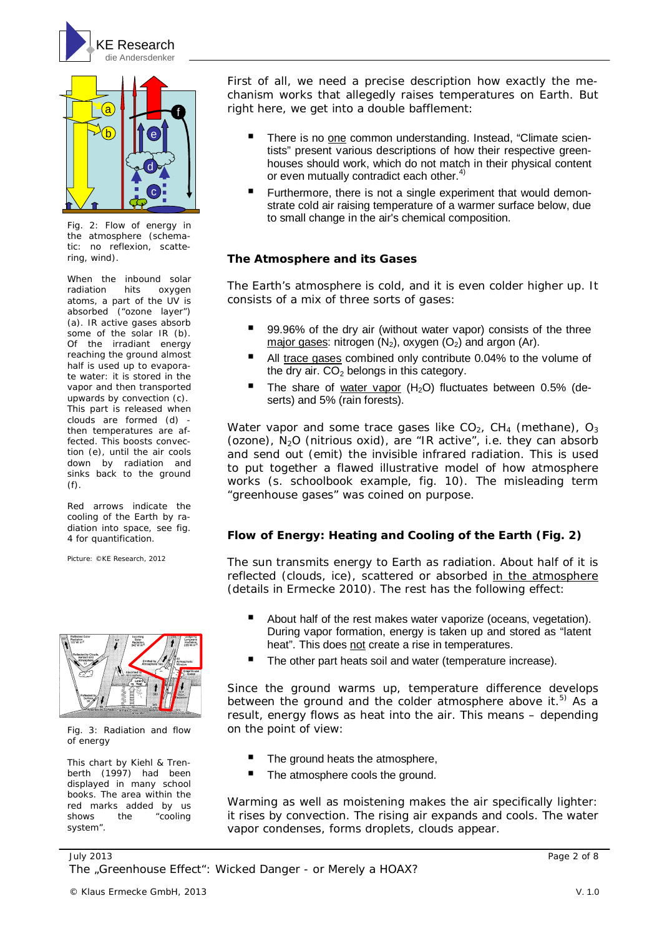



Fig. 2: Flow of energy in the atmosphere (schematic: no reflexion, scattering, wind).

When the inbound solar radiation hits oxygen atoms, a part of the UV is absorbed ("ozone layer") (a). IR active gases absorb some of the solar IR (b). Of the irradiant energy reaching the ground almost half is used up to evaporate water: it is stored in the vapor and then transported upwards by convection (c). This part is released when clouds are formed (d) then temperatures are affected. This boosts convection (e), until the air cools down by radiation and sinks back to the ground (f).

Red arrows indicate the cooling of the Earth by radiation into space, see fig. 4 for quantification.

Picture: ©KE Research, 2012



Fig. 3: Radiation and flow of energy

This chart by Kiehl & Trenberth (1997) had been displayed in many school books. The area within the red marks added by us shows the "cooling system".

First of all, we need a precise description how exactly the mechanism works that allegedly raises temperatures on Earth. But right here, we get into a double bafflement:

- There is no one common understanding. Instead, "Climate scientists" present various descriptions of how their respective greenhouses should work, which do not match in their physical content or even mutually contradict each other.<sup>4)</sup>
- Furthermore, there is not a single experiment that would demonstrate cold air raising temperature of a warmer surface below, due to small change in the air's chemical composition.

#### **The Atmosphere and its Gases**

The Earth's atmosphere is cold, and it is even colder higher up. It consists of a mix of three sorts of gases:

- 99.96% of the dry air (without water vapor) consists of the three major gases: nitrogen  $(N_2)$ , oxygen  $(O_2)$  and argon  $(Ar)$ .
- All trace gases combined only contribute 0.04% to the volume of the dry air.  $CO<sub>2</sub>$  belongs in this category.
- The share of water vapor  $(H<sub>2</sub>O)$  fluctuates between 0.5% (deserts) and 5% (rain forests).

Water vapor and some trace gases like  $CO<sub>2</sub>$ , CH<sub>4</sub> (methane),  $O<sub>3</sub>$ (ozone),  $N_2O$  (nitrious oxid), are "IR active", i.e. they can absorb and send out (emit) the invisible infrared radiation. This is used to put together a flawed illustrative model of how atmosphere works (s. schoolbook example, fig. 10). The misleading term "greenhouse gases" was coined on purpose.

**Flow of Energy: Heating and Cooling of the Earth (Fig. 2)**

The sun transmits energy to Earth as radiation. About half of it is reflected (clouds, ice), scattered or absorbed in the atmosphere (details in Ermecke 2010). The rest has the following effect:

- About half of the rest makes water vaporize (oceans, vegetation). During vapor formation, energy is taken up and stored as "latent heat". This does not create a rise in temperatures.
- The other part heats soil and water (temperature increase).

Since the ground warms up, temperature difference develops between the ground and the colder atmosphere above it.<sup>5)</sup> As a result, energy flows as heat into the air. This means – depending on the point of view:

- The ground heats the atmosphere,
- The atmosphere cools the ground.

Warming as well as moistening makes the air specifically lighter: it rises by convection. The rising air expands and cools. The water vapor condenses, forms droplets, clouds appear.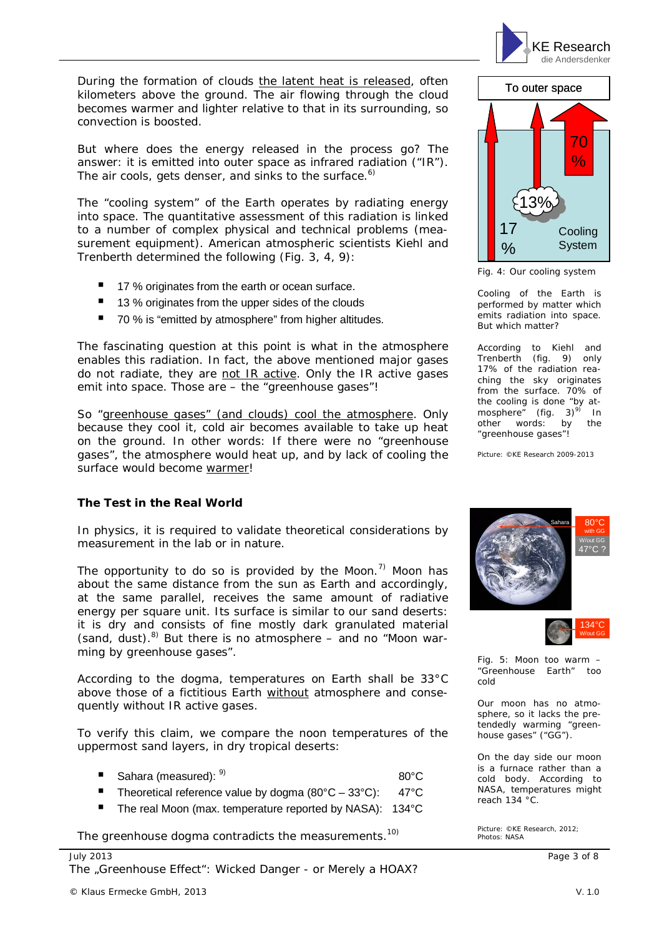

During the formation of clouds the latent heat is released, often kilometers above the ground. The air flowing through the cloud becomes warmer and lighter relative to that in its surrounding, so convection is boosted.

But where does the energy released in the process go? The answer: it is emitted into outer space as infrared radiation ("IR"). The air cools, gets denser, and sinks to the surface.<sup>6)</sup>

The "cooling system" of the Earth operates by radiating energy into space. The quantitative assessment of this radiation is linked to a number of complex physical and technical problems (measurement equipment). American atmospheric scientists Kiehl and Trenberth determined the following (Fig. 3, 4, 9):

- 17 % originates from the earth or ocean surface.
- 13 % originates from the upper sides of the clouds
- 70 % is "emitted by atmosphere" from higher altitudes.

The fascinating question at this point is what in the atmosphere enables this radiation. In fact, the above mentioned major gases do not radiate, they are not IR active. Only the IR active gases emit into space. Those are – the "greenhouse gases"!

So "greenhouse gases" (and clouds) cool the atmosphere. Only because they cool it, cold air becomes available to take up heat on the ground. In other words: If there were no "greenhouse gases", the atmosphere would heat up, and by lack of cooling the surface would become warmer!

#### **The Test in the Real World**

In physics, it is required to validate theoretical considerations by measurement in the lab or in nature.

The opportunity to do so is provided by the Moon.<sup>7)</sup> Moon has about the same distance from the sun as Earth and accordingly, at the same parallel, receives the same amount of radiative energy per square unit. Its surface is similar to our sand deserts: it is dry and consists of fine mostly dark granulated material (sand, dust). $8$ ) But there is no atmosphere – and no "Moon warming by greenhouse gases".

According to the dogma, temperatures on Earth shall be 33°C above those of a fictitious Earth without atmosphere and consequently without IR active gases.

To verify this claim, we compare the noon temperatures of the uppermost sand layers, in dry tropical deserts:

| Sahara (measured): 9) | $80^{\circ}$ C |
|-----------------------|----------------|
|                       |                |

- Theoretical reference value by dogma (80°C 33°C): 47°C
- The real Moon (max. temperature reported by NASA): 134°C

The greenhouse dogma contradicts the measurements.<sup>10)</sup>



Fig. 4: Our cooling system

Cooling of the Earth is performed by matter which emits radiation into space. But which matter?

According to Kiehl and Trenberth (fig. 9) only 17% of the radiation reaching the sky originates from the surface. 70% of the cooling is done "by atmosphere" (fig.  $3)^{9}$  In other words: by the "greenhouse gases"!

Picture: ©KE Research 2009-2013





Fig. 5: Moon too warm – "Greenhouse Earth" too cold

Our moon has no atmosphere, so it lacks the pretendedly warming "greenhouse gases" ("GG").

On the day side our moon is a furnace rather than a cold body. According to NASA, temperatures might reach 134 °C.

Picture: ©KE Research, 2012; Photos: NASA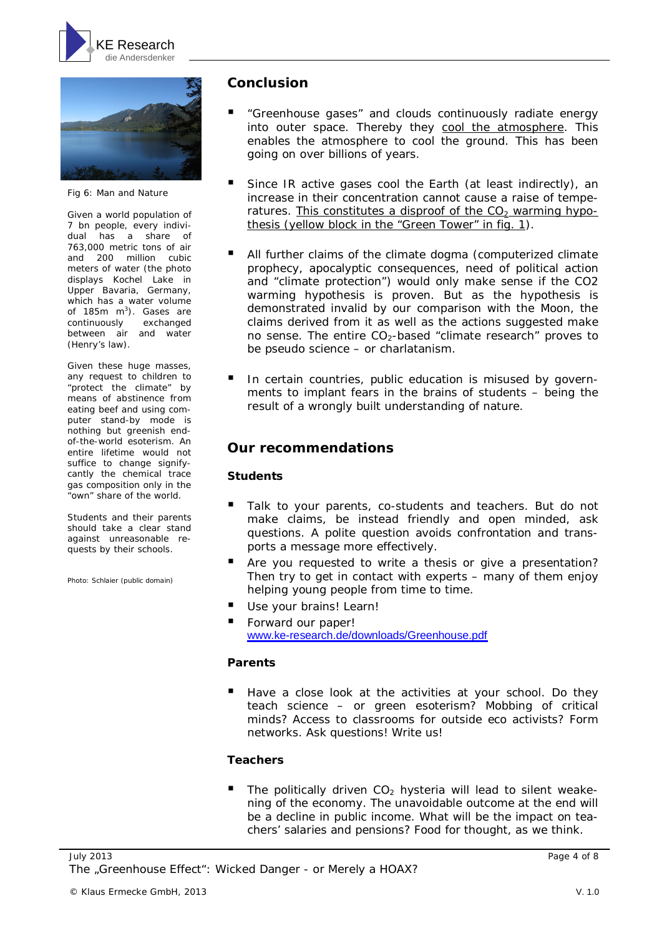



Fig 6: Man and Nature

Given a world population of 7 bn people, every individual has a share of 763,000 metric tons of air and 200 million cubic meters of water (the photo displays Kochel Lake in Upper Bavaria, Germany, which has a water volume of 185 $m$  m<sup>3</sup>). Gases are continuously exchanged between air and water (Henry's law).

Given these huge masses, any request to children to "protect the climate" by means of abstinence from eating beef and using computer stand-by mode is nothing but greenish endof-the-world esoterism. An entire lifetime would not suffice to change signifycantly the chemical trace gas composition only in the "own" share of the world.

Students and their parents should take a clear stand against unreasonable requests by their schools.

Photo: Schlaier (public domain)

## **Conclusion**

- "Greenhouse gases" and clouds continuously radiate energy into outer space. Thereby they cool the atmosphere. This enables the atmosphere to cool the ground. This has been going on over billions of years.
- Since IR active gases cool the Earth (at least indirectly), an increase in their concentration cannot cause a raise of temperatures. This constitutes a disproof of the  $CO<sub>2</sub>$  warming hypothesis (yellow block in the "Green Tower" in fig. 1).
- All further claims of the climate dogma (computerized climate prophecy, apocalyptic consequences, need of political action and "climate protection") would only make sense if the CO2 warming hypothesis is proven. But as the hypothesis is demonstrated invalid by our comparison with the Moon, the claims derived from it as well as the actions suggested make no sense. The entire  $CO<sub>2</sub>$ -based "climate research" proves to be pseudo science – or charlatanism.
- In certain countries, public education is misused by governments to implant fears in the brains of students – being the result of a wrongly built understanding of nature.

## **Our recommendations**

#### **Students**

- Talk to your parents, co-students and teachers. But do not make claims, be instead friendly and open minded, ask questions. A polite question avoids confrontation and transports a message more effectively.
- Are you requested to write a thesis or give a presentation? Then try to get in contact with experts – many of them enjoy helping young people from time to time.
- Use your brains! Learn!
- Forward our paper! [www.ke-research.de/downloads/Greenhouse.pdf](http://www.ke-research.de/downloads/Greenhouse.pdf)

#### **Parents**

 Have a close look at the activities at your school. Do they teach science – or green esoterism? Mobbing of critical minds? Access to classrooms for outside eco activists? Form networks. Ask questions! Write us!

#### **Teachers**

The politically driven  $CO<sub>2</sub>$  hysteria will lead to silent weakening of the economy. The unavoidable outcome at the end will be a decline in public income. What will be the impact on teachers' salaries and pensions? Food for thought, as we think.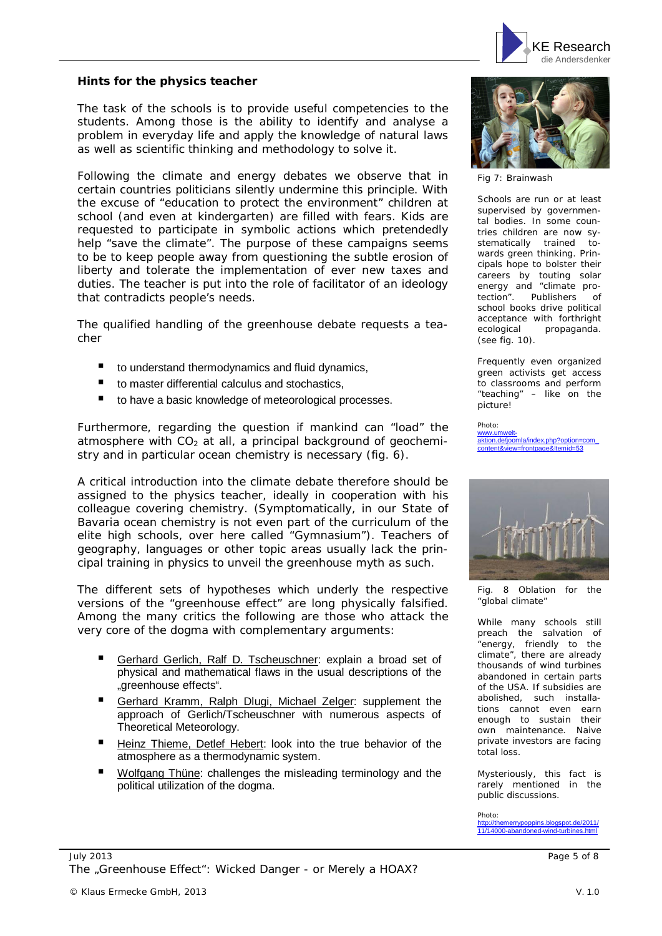

**Hints for the physics teacher**

The task of the schools is to provide useful competencies to the students. Among those is the ability to identify and analyse a problem in everyday life and apply the knowledge of natural laws as well as scientific thinking and methodology to solve it.

Following the climate and energy debates we observe that in certain countries politicians silently undermine this principle. With the excuse of "education to protect the environment" children at school (and even at kindergarten) are filled with fears. Kids are requested to participate in symbolic actions which pretendedly help "save the climate". The purpose of these campaigns seems to be to keep people away from questioning the subtle erosion of liberty and tolerate the implementation of ever new taxes and duties. The teacher is put into the role of facilitator of an ideology that contradicts people's needs.

The qualified handling of the greenhouse debate requests a teacher

- to understand thermodynamics and fluid dynamics,
- to master differential calculus and stochastics,
- to have a basic knowledge of meteorological processes.

Furthermore, regarding the question if mankind can "load" the atmosphere with  $CO<sub>2</sub>$  at all, a principal background of geochemistry and in particular ocean chemistry is necessary (fig. 6).

A critical introduction into the climate debate therefore should be assigned to the physics teacher, ideally in cooperation with his colleague covering chemistry. (Symptomatically, in our State of Bavaria ocean chemistry is not even part of the curriculum of the elite high schools, over here called "Gymnasium"). Teachers of geography, languages or other topic areas usually lack the principal training in physics to unveil the greenhouse myth as such.

The different sets of hypotheses which underly the respective versions of the "greenhouse effect" are long physically falsified. Among the many critics the following are those who attack the very core of the dogma with complementary arguments:

- Gerhard Gerlich, Ralf D. Tscheuschner: explain a broad set of physical and mathematical flaws in the usual descriptions of the "greenhouse effects".
- Gerhard Kramm, Ralph Dlugi, Michael Zelger: supplement the approach of Gerlich/Tscheuschner with numerous aspects of Theoretical Meteorology.
- Heinz Thieme, Detlef Hebert: look into the true behavior of the atmosphere as a thermodynamic system.
- Wolfgang Thüne: challenges the misleading terminology and the political utilization of the dogma.



Fig 7: Brainwash

Schools are run or at least supervised by governmental bodies. In some countries children are now systematically trained towards green thinking. Principals hope to bolster their careers by touting solar energy and "climate protection". Publishers of school books drive political acceptance with forthright ecological propaganda. (see fig. 10).

Frequently even organized green activists get access to classrooms and perform "teaching" – like on the picture!

Photo: www.umwelt-aktion.de/joomla/index.php?option=com\_ content&view=frontpage&Itemid=53



Fig. 8 Oblation for the "global climate"

While many schools still preach the salvation of "energy, friendly to the climate", there are already thousands of wind turbines abandoned in certain parts of the USA. If subsidies are abolished, such installations cannot even earn enough to sustain their own maintenance. Naive private investors are facing total loss.

Mysteriously, this fact is rarely mentioned in the public discussions.

Photo: merrypoppins.blogspot.de/2011/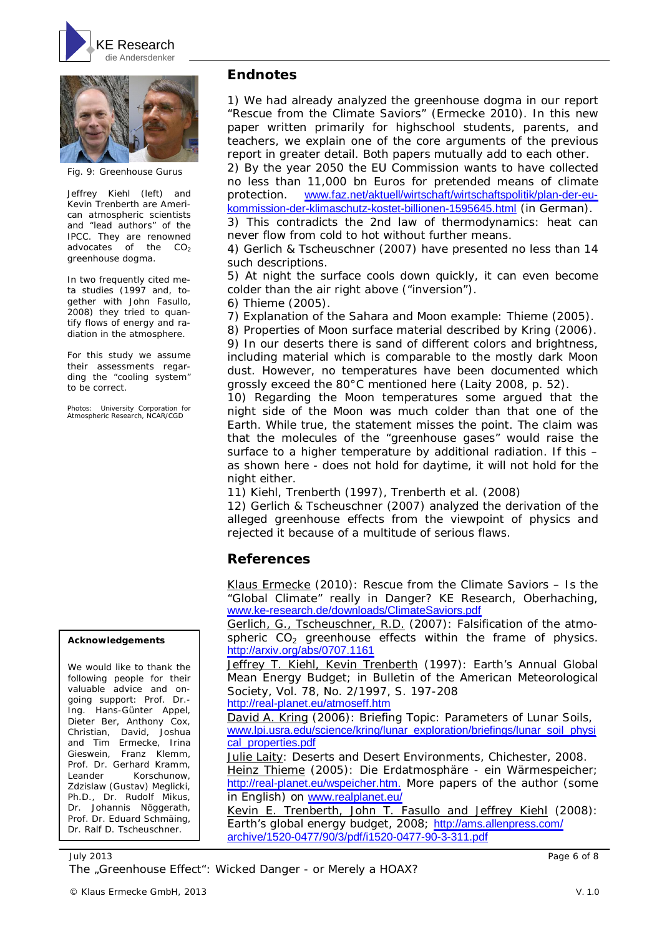



Fig. 9: Greenhouse Gurus

Jeffrey Kiehl (left) and Kevin Trenberth are American atmospheric scientists and "lead authors" of the IPCC. They are renowned advocates of the  $CO<sub>2</sub>$ greenhouse dogma.

In two frequently cited meta studies (1997 and, together with John Fasullo, 2008) they tried to quantify flows of energy and radiation in the atmosphere.

For this study we assume their assessments regarding the "cooling system" to be correct.

Photos: University Corporation for Atmospheric Research, NCAR/CGD

#### **Acknowledgements**

We would like to thank the following people for their valuable advice and ongoing support: Prof. Dr.- Ing. Hans-Günter Appel, Dieter Ber, Anthony Cox, Christian, David, Joshua and Tim Ermecke, Irina Gieswein, Franz Klemm, Prof. Dr. Gerhard Kramm, Leander Korschunow, Zdzislaw (Gustav) Meglicki, Ph.D., Dr. Rudolf Mikus, Dr. Johannis Nöggerath, Prof. Dr. Eduard Schmäing, Dr. Ralf D. Tscheuschner.

#### **Endnotes**

1) We had already analyzed the greenhouse dogma in our report "Rescue from the Climate Saviors" (Ermecke 2010). In this new paper written primarily for highschool students, parents, and teachers, we explain one of the core arguments of the previous report in greater detail. Both papers mutually add to each other.

2) By the year 2050 the EU Commission wants to have collected no less than 11,000 bn Euros for pretended means of climate protection. [www.faz.net/aktuell/wirtschaft/wirtschaftspolitik/plan-der-eu](http://www.faz.net/aktuell/wirtschaft/wirtschaftspolitik/plan-der-eu-)kommission-der-klimaschutz-kostet-billionen-1595645.html (in German).

3) This contradicts the 2nd law of thermodynamics: heat can never flow from cold to hot without further means.

4) Gerlich & Tscheuschner (2007) have presented no less than 14 such descriptions.

5) At night the surface cools down quickly, it can even become colder than the air right above ("inversion").

6) Thieme (2005).

7) Explanation of the Sahara and Moon example: Thieme (2005).

8) Properties of Moon surface material described by Kring (2006).

9) In our deserts there is sand of different colors and brightness, including material which is comparable to the mostly dark Moon dust. However, no temperatures have been documented which grossly exceed the 80°C mentioned here (Laity 2008, p. 52).

10) Regarding the Moon temperatures some argued that the night side of the Moon was much colder than that one of the Earth. While true, the statement misses the point. The claim was that the molecules of the "greenhouse gases" would raise the surface to a higher temperature by additional radiation. If this – as shown here - does not hold for daytime, it will not hold for the night either.

11) Kiehl, Trenberth (1997), Trenberth et al. (2008)

12) Gerlich & Tscheuschner (2007) analyzed the derivation of the alleged greenhouse effects from the viewpoint of physics and rejected it because of a multitude of serious flaws.

#### **References**

Klaus Ermecke (2010): Rescue from the Climate Saviors – Is the "Global Climate" really in Danger? KE Research, Oberhaching, [www.ke-research.de/downloads/ClimateSaviors.pdf](http://www.ke-research.de/downloads/ClimateSaviors.pdf)

Gerlich, G., Tscheuschner, R.D. (2007): Falsification of the atmospheric  $CO<sub>2</sub>$  greenhouse effects within the frame of physics. <http://arxiv.org/abs/0707.1161>

Jeffrey T. Kiehl, Kevin Trenberth (1997): Earth's Annual Global Mean Energy Budget; in Bulletin of the American Meteorological Society, Vol. 78, No. 2/1997, S. 197-208

<http://real-planet.eu/atmoseff.htm>

David A. Kring (2006): Briefing Topic: Parameters of Lunar Soils, [www.lpi.usra.edu/science/kring/lunar\\_exploration/briefings/lunar\\_soil\\_physi](http://www.lpi.usra.edu/science/kring/lunar_exploration/briefings/lunar_soil_physi) cal\_properties.pdf

Julie Laity: Deserts and Desert Environments, Chichester, 2008. Heinz Thieme (2005): Die Erdatmosphäre - ein Wärmespeicher;

<http://real-planet.eu/wspeicher.htm.> More papers of the author (some in English) on [www.realplanet.eu/](http://www.realplanet.eu/)

Kevin E. Trenberth, John T. Fasullo and Jeffrey Kiehl (2008): Earth's global energy budget, 2008; <http://ams.allenpress.com/> archive/1520-0477/90/3/pdf/i1520-0477-90-3-311.pdf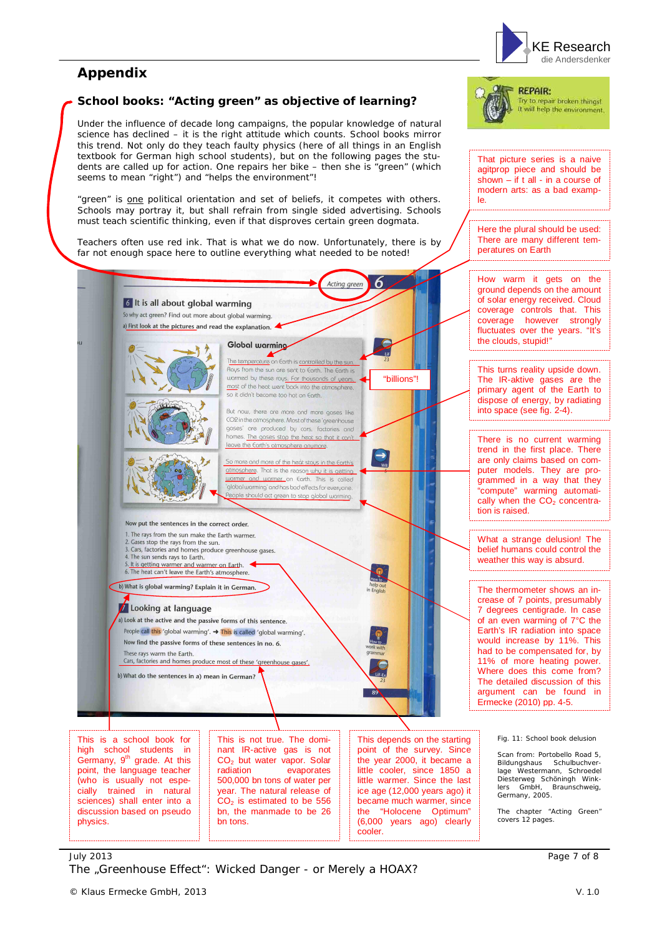

## **Appendix**

#### **School books: "Acting green" as objective of learning?**

Under the influence of decade long campaigns, the popular knowledge of natural science has declined – it is the right attitude which counts. School books mirror this trend. Not only do they teach faulty physics (here of all things in an English textbook for German high school students), but on the following pages the students are called up for action. One repairs her bike – then she is "green" (which seems to mean "right") and "helps the environment"!

"green" is one political orientation and set of beliefs, it competes with others. Schools may portray it, but shall refrain from single sided advertising. Schools must teach scientific thinking, even if that disproves certain green dogmata.

Teachers often use red ink. That is what we do now. Unfortunately, there is by far not enough space here to outline everything what needed to be noted!



Try to repair broken things! will help the environment.

That picture series is a naive agitprop piece and should be shown – if t all - in a course of modern arts: as a bad example.

Here the plural should be used: There are many different temperatures on Earth



little warmer. Since the last ice age (12,000 years ago) it became much warmer, since the "Holocene Optimum" (6,000 years ago) clearly

cooler.

Bildungshaus Schulbuchver-lage Westermann, Schroedel Diesterweg Schöningh Winklers GmbH, Braunschweig, Germany, 2005.

The chapter "Acting Green" covers 12 pages.

#### July 2013 Page 7 of 8 The "Greenhouse Effect": Wicked Danger - or Merely a HOAX?

bn tons.

500,000 bn tons of water per year. The natural release of  $CO<sub>2</sub>$  is estimated to be 556 bn, the manmade to be 26

(who is usually not especially trained in natural sciences) shall enter into a discussion based on pseudo

physics.